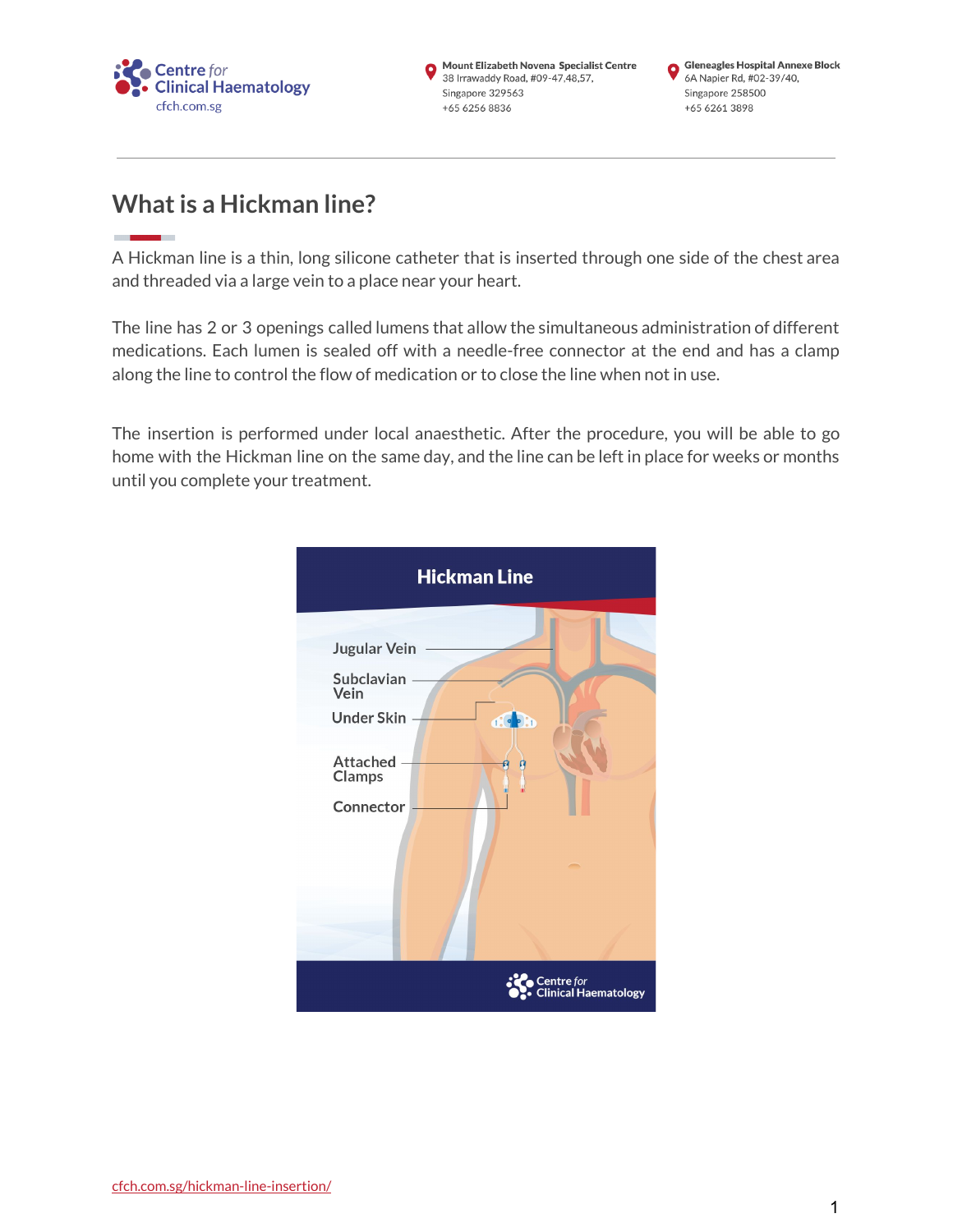

Mount Elizabeth Novena Specialist Centre 38 Irrawaddy Road, #09-47,48,57, Singapore 329563 +65 6256 8836

# **What is a Hickman line?**

A Hickman line is a thin, long silicone catheter that is inserted through one side of the chest area and threaded via a large vein to a place near your heart.

The line has 2 or 3 openings called lumens that allow the simultaneous administration of different medications. Each lumen is sealed off with a needle-free connector at the end and has a clamp along the line to control the flow of medication or to close the line when not in use.

The insertion is performed under local anaesthetic. After the procedure, you will be able to go home with the Hickman line on the same day, and the line can be left in place for weeks or months until you complete your treatment.

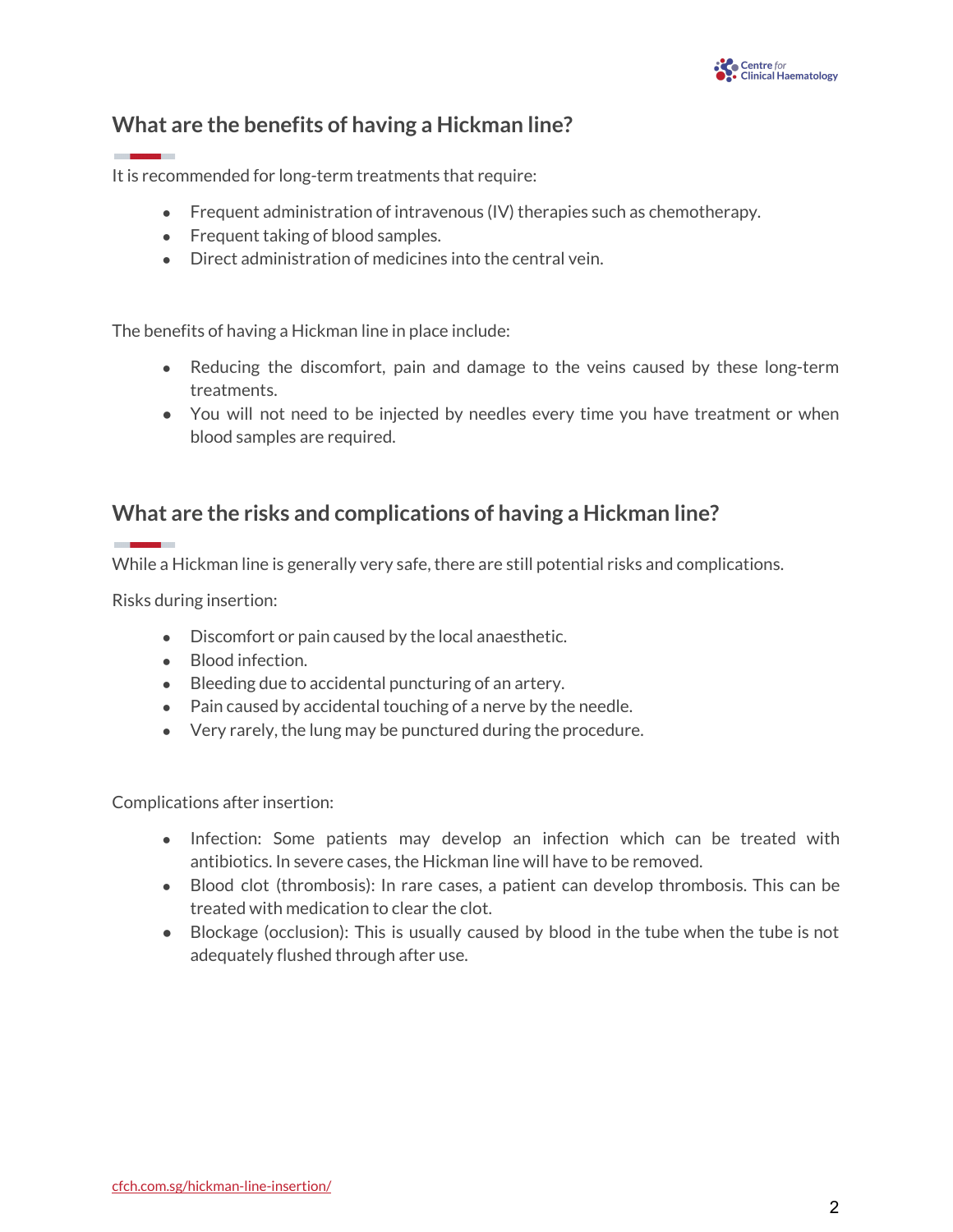## **What are the benefits of having a Hickman line?**

It is recommended for long-term treatments that require:

- Frequent administration of intravenous  $\left(\frac{1}{\sqrt{2}}\right)$  therapies such as chemotherapy.
- Frequent taking of blood samples.
- Direct administration of medicines into the central vein.

The benefits of having a Hickman line in place include:

- Reducing the discomfort, pain and damage to the veins caused by these long-term treatments.
- **●** You will not need to be injected by needles every time you have treatment or when blood samples are required.

### **What are the risks and complications of having a Hickman line?**

While a Hickman line is generally very safe, there are still potential risks and complications.

Risks during insertion:

- Discomfort or pain caused by the local anaesthetic.
- Blood infection.
- Bleeding due to accidental puncturing of an artery.
- Pain caused by accidental touching of a nerve by the needle.
- Very rarely, the lung may be punctured during the procedure.

Complications after insertion:

- Infection: Some patients may develop an infection which can be treated with antibiotics. In severe cases, the Hickman line will have to be removed.
- Blood clot (thrombosis): In rare cases, a patient can develop thrombosis. This can be treated with medication to clear the clot.
- **●** Blockage (occlusion): This is usually caused by blood in the tube when the tube is not adequately flushed through after use.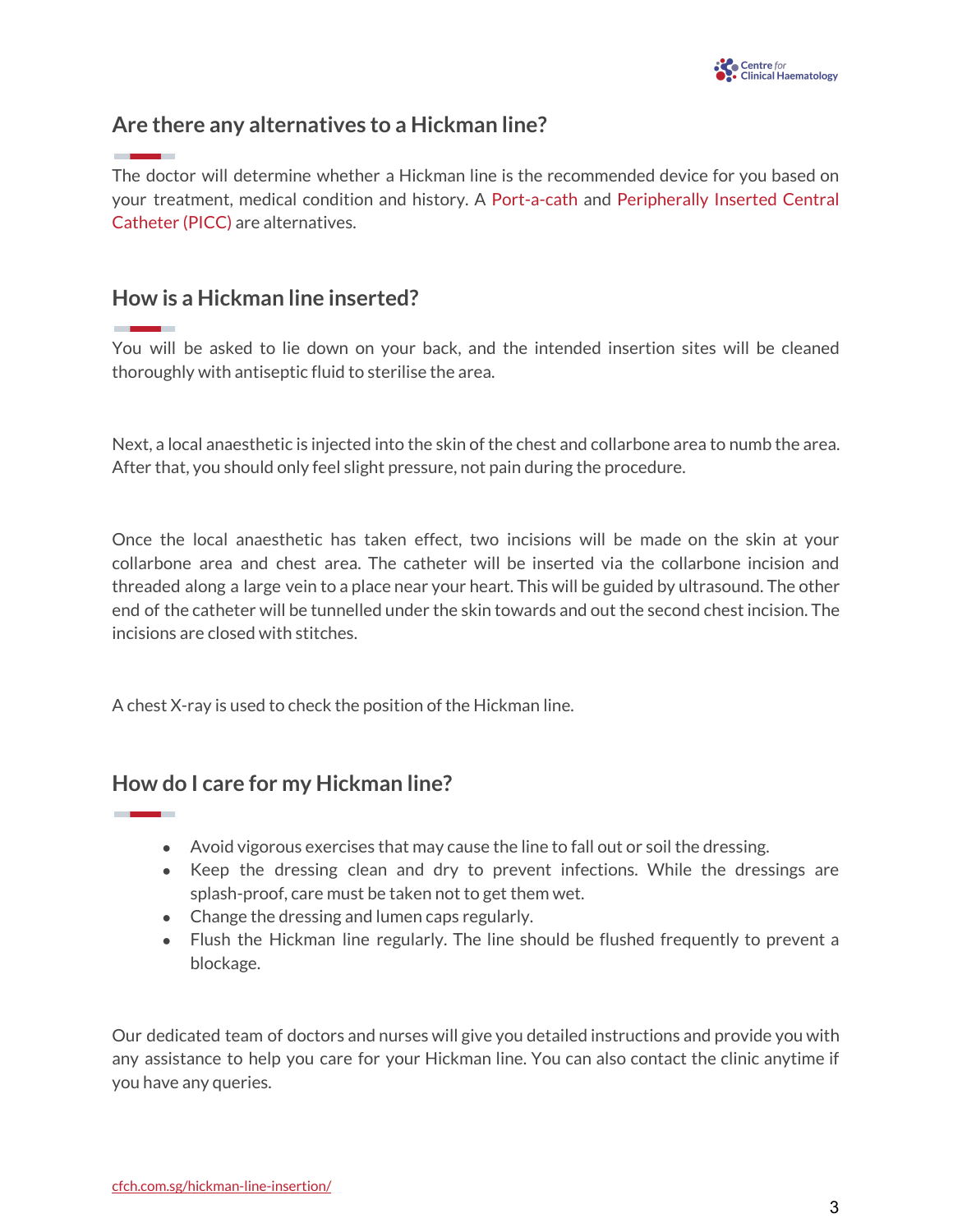## **Are there any alternatives to a Hickman line?**

The doctor will determine whether a Hickman line is the recommended device for you based on your treatment, medical condition and history. A [Port-a-cath](https://cfch.com.sg/port-a-cath/) and [Peripherally](https://cfch.com.sg/peripherally-inserted-central-catheter-picc/) Inserted Central [Catheter](https://cfch.com.sg/peripherally-inserted-central-catheter-picc/) (PICC) are alternatives.

## **How is a Hickman line inserted?**

You will be asked to lie down on your back, and the intended insertion sites will be cleaned thoroughly with antiseptic fluid to sterilise the area.

Next, a local anaesthetic is injected into the skin of the chest and collarbone area to numb the area. After that, you should only feel slight pressure, not pain during the procedure.

Once the local anaesthetic has taken effect, two incisions will be made on the skin at your collarbone area and chest area. The catheter will be inserted via the collarbone incision and threaded along a large vein to a place near your heart. This will be guided by ultrasound. The other end of the catheter will be tunnelled under the skin towards and out the second chest incision. The incisions are closed with stitches.

A chest X-ray is used to check the position of the Hickman line.

### **How do I care for my Hickman line?**

- Avoid vigorous exercises that may cause the line to fall out or soil the dressing.
- Keep the dressing clean and dry to prevent infections. While the dressings are splash-proof, care must be taken not to get them wet.
- Change the dressing and lumen caps regularly.
- Flush the Hickman line regularly. The line should be flushed frequently to prevent a blockage. .

Our dedicated team of doctors and nurses will give you detailed instructions and provide you with any assistance to help you care for your Hickman line. You can also contact the clinic anytime if you have any queries.